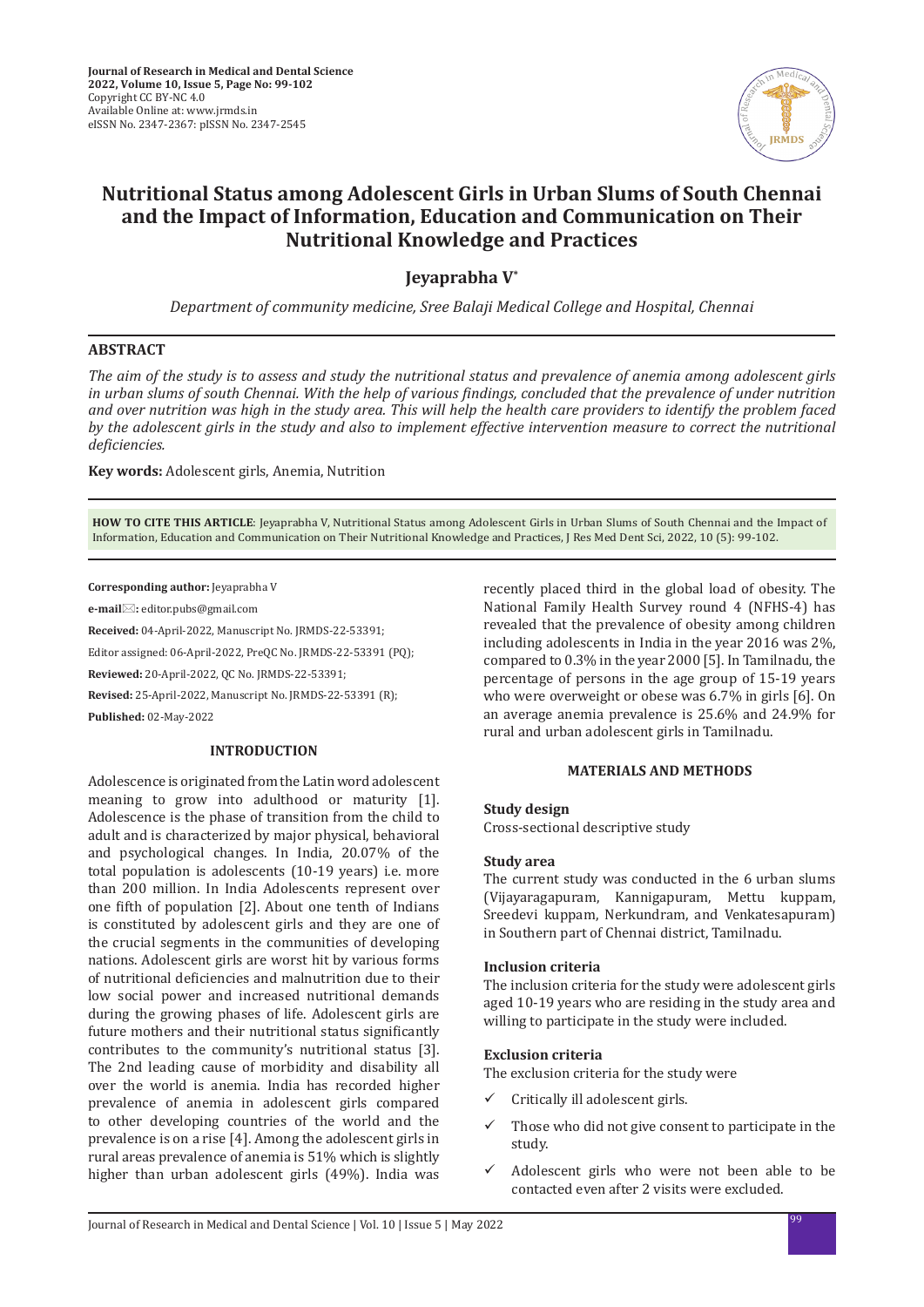

# **Nutritional Status among Adolescent Girls in Urban Slums of South Chennai and the Impact of Information, Education and Communication on Their Nutritional Knowledge and Practices**

**Jeyaprabha V\***

*Department of community medicine, Sree Balaji Medical College and Hospital, Chennai*

## **ABSTRACT**

*The aim of the study is to assess and study the nutritional status and prevalence of anemia among adolescent girls in urban slums of south Chennai. With the help of various findings, concluded that the prevalence of under nutrition and over nutrition was high in the study area. This will help the health care providers to identify the problem faced*  by the adolescent girls in the study and also to implement effective intervention measure to correct the nutritional *deficiencies.*

**Key words:** Adolescent girls, Anemia, Nutrition

**HOW TO CITE THIS ARTICLE**: Jeyaprabha V, Nutritional Status among Adolescent Girls in Urban Slums of South Chennai and the Impact of Information, Education and Communication on Their Nutritional Knowledge and Practices, J Res Med Dent Sci, 2022, 10 (5): 99-102.

**Corresponding author:** Jeyaprabha V

**e-mail:** editor.pubs@gmail.com

**Received:** 04-April-2022, Manuscript No. JRMDS-22-53391;

Editor assigned: 06-April-2022, PreQC No. JRMDS-22-53391 (PQ);

**Reviewed:** 20-April-2022, QC No. JRMDS-22-53391;

**Revised:** 25-April-2022, Manuscript No. JRMDS-22-53391 (R);

**Published:** 02-May-2022

#### **INTRODUCTION**

Adolescence is originated from the Latin word adolescent meaning to grow into adulthood or maturity [1]. Adolescence is the phase of transition from the child to adult and is characterized by major physical, behavioral and psychological changes. In India, 20.07% of the total population is adolescents (10-19 years) i.e. more than 200 million. In India Adolescents represent over one fifth of population [2]. About one tenth of Indians is constituted by adolescent girls and they are one of the crucial segments in the communities of developing nations. Adolescent girls are worst hit by various forms of nutritional deficiencies and malnutrition due to their low social power and increased nutritional demands during the growing phases of life. Adolescent girls are future mothers and their nutritional status significantly contributes to the community's nutritional status [3]. The 2nd leading cause of morbidity and disability all over the world is anemia. India has recorded higher prevalence of anemia in adolescent girls compared to other developing countries of the world and the prevalence is on a rise [4]. Among the adolescent girls in rural areas prevalence of anemia is 51% which is slightly higher than urban adolescent girls (49%). India was recently placed third in the global load of obesity. The National Family Health Survey round 4 (NFHS-4) has revealed that the prevalence of obesity among children including adolescents in India in the year 2016 was 2%, compared to 0.3% in the year 2000 [5]. In Tamilnadu, the percentage of persons in the age group of 15-19 years who were overweight or obese was 6.7% in girls [6]. On an average anemia prevalence is 25.6% and 24.9% for rural and urban adolescent girls in Tamilnadu.

#### **MATERIALS AND METHODS**

#### **Study design**

Cross-sectional descriptive study

#### **Study area**

The current study was conducted in the 6 urban slums (Vijayaragapuram, Kannigapuram, Mettu kuppam, Sreedevi kuppam, Nerkundram, and Venkatesapuram) in Southern part of Chennai district, Tamilnadu.

#### **Inclusion criteria**

The inclusion criteria for the study were adolescent girls aged 10-19 years who are residing in the study area and willing to participate in the study were included.

#### **Exclusion criteria**

The exclusion criteria for the study were

- Critically ill adolescent girls.
- $\checkmark$  Those who did not give consent to participate in the study.
- $\checkmark$  Adolescent girls who were not been able to be contacted even after 2 visits were excluded.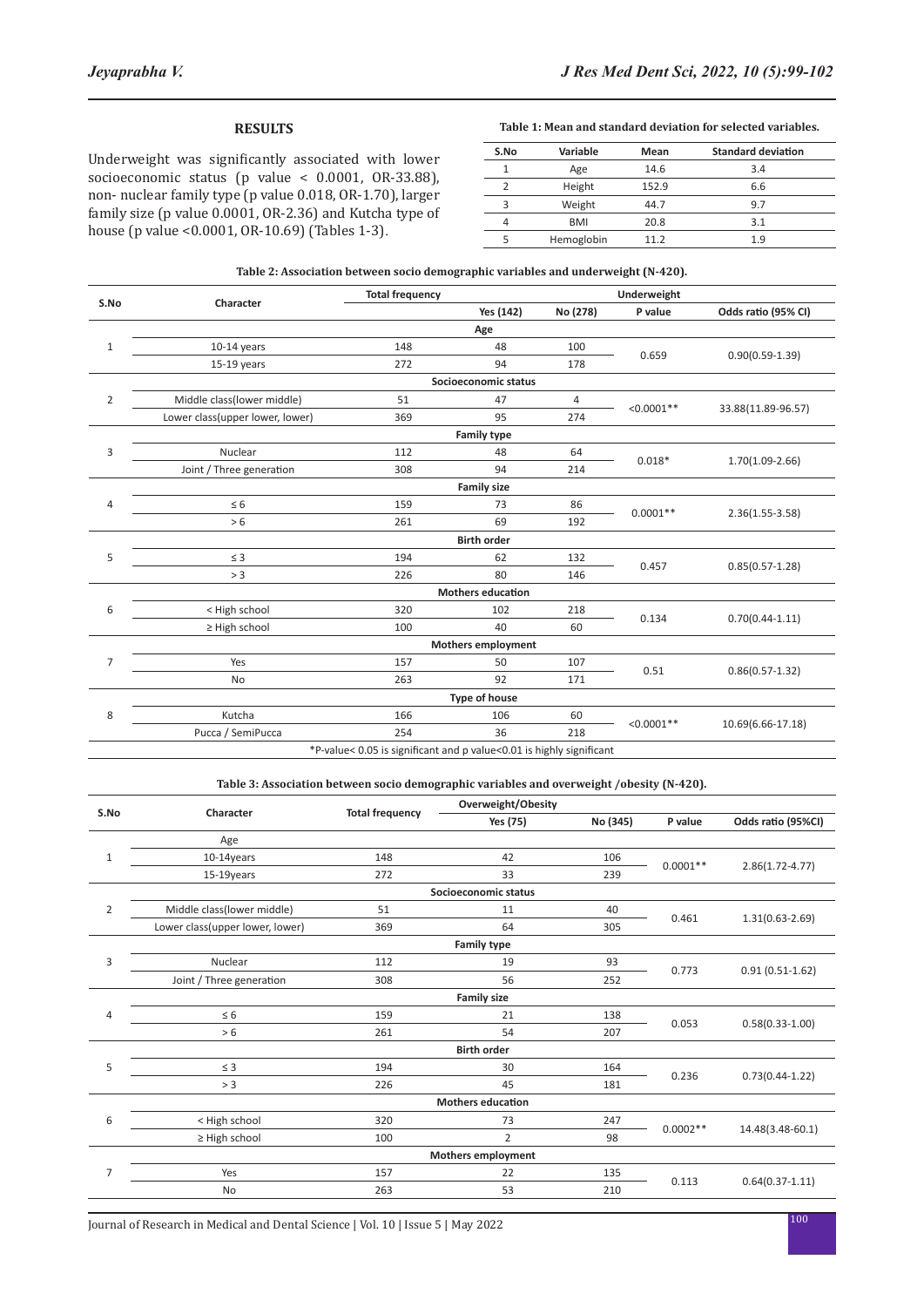# **RESULTS**

Underweight was significantly associated with lower socioeconomic status (p value < 0.0001, OR-33.88), non- nuclear family type (p value 0.018, OR-1.70), larger family size (p value 0.0001, OR-2.36) and Kutcha type of house (p value <0.0001, OR-10.69) (Tables 1-3).

**Table 1: Mean and standard deviation for selected variables.**

| S.No | Variable   | Mean  | <b>Standard deviation</b> |
|------|------------|-------|---------------------------|
|      | Age        | 14.6  | 3.4                       |
|      | Height     | 152.9 | 6.6                       |
| 3    | Weight     | 44.7  | 9.7                       |
|      | <b>BMI</b> | 20.8  | 3.1                       |
|      | Hemoglobin | 11.2  | 1.9                       |

| Table 2: Association between socio demographic variables and underweight (N-420). |  |
|-----------------------------------------------------------------------------------|--|
|-----------------------------------------------------------------------------------|--|

|                |                                                                      | <b>Total frequency</b> |                           |          | Underweight  |                     |  |  |
|----------------|----------------------------------------------------------------------|------------------------|---------------------------|----------|--------------|---------------------|--|--|
| S.No           | Character                                                            |                        | Yes (142)                 | No (278) | P value      | Odds ratio (95% CI) |  |  |
|                |                                                                      |                        | Age                       |          |              |                     |  |  |
| $\mathbf 1$    | $10-14$ years                                                        | 148                    | 48                        | 100      | 0.659        | $0.90(0.59 - 1.39)$ |  |  |
|                | $15-19$ years                                                        | 272                    | 94                        | 178      |              |                     |  |  |
|                | Socioeconomic status                                                 |                        |                           |          |              |                     |  |  |
| 2              | Middle class(lower middle)                                           | 51                     | 47                        | 4        | $< 0.0001**$ | 33.88(11.89-96.57)  |  |  |
|                | Lower class(upper lower, lower)                                      | 369                    | 95                        | 274      |              |                     |  |  |
|                |                                                                      |                        | <b>Family type</b>        |          |              |                     |  |  |
| 3              | Nuclear                                                              | 112                    | 48                        | 64       | $0.018*$     | $1.70(1.09 - 2.66)$ |  |  |
|                | Joint / Three generation                                             | 308                    | 94                        | 214      |              |                     |  |  |
|                |                                                                      |                        | <b>Family size</b>        |          |              |                     |  |  |
| 4              | $\leq 6$                                                             | 159                    | 73                        | 86       | $0.0001**$   | $2.36(1.55-3.58)$   |  |  |
|                | > 6                                                                  | 261                    | 69                        | 192      |              |                     |  |  |
|                | <b>Birth order</b>                                                   |                        |                           |          |              |                     |  |  |
| 5              | $\leq$ 3                                                             | 194                    | 62                        | 132      | 0.457        | $0.85(0.57 - 1.28)$ |  |  |
|                | > 3                                                                  | 226                    | 80                        | 146      |              |                     |  |  |
|                |                                                                      |                        | <b>Mothers education</b>  |          |              |                     |  |  |
| 6              | < High school                                                        | 320                    | 102                       | 218      | 0.134        | $0.70(0.44 - 1.11)$ |  |  |
|                | $\geq$ High school                                                   | 100                    | 40                        | 60       |              |                     |  |  |
|                |                                                                      |                        | <b>Mothers employment</b> |          |              |                     |  |  |
| $\overline{7}$ | Yes                                                                  | 157                    | 50                        | 107      | 0.51         | $0.86(0.57 - 1.32)$ |  |  |
|                | <b>No</b>                                                            | 263                    | 92                        | 171      |              |                     |  |  |
|                | <b>Type of house</b>                                                 |                        |                           |          |              |                     |  |  |
| 8              | Kutcha                                                               | 166                    | 106                       | 60       | $< 0.0001**$ | 10.69(6.66-17.18)   |  |  |
|                | Pucca / SemiPucca                                                    | 254                    | 36                        | 218      |              |                     |  |  |
|                | *P-value< 0.05 is significant and p value<0.01 is highly significant |                        |                           |          |              |                     |  |  |

## **Table 3: Association between socio demographic variables and overweight /obesity (N-420).**

|                | Character                       |                        | Overweight/Obesity   |          |            |                     |  |
|----------------|---------------------------------|------------------------|----------------------|----------|------------|---------------------|--|
| S.No           |                                 | <b>Total frequency</b> | Yes (75)             | No (345) | P value    | Odds ratio (95%CI)  |  |
|                | Age                             |                        |                      |          |            |                     |  |
| $1\,$          | 10-14years                      | 148                    | 42                   | 106      |            | $2.86(1.72 - 4.77)$ |  |
|                | 15-19years                      | 272                    | 33                   | 239      | $0.0001**$ |                     |  |
|                |                                 |                        | Socioeconomic status |          |            |                     |  |
| $\overline{2}$ | Middle class(lower middle)      | 51                     | 11                   | 40       |            |                     |  |
|                | Lower class(upper lower, lower) | 369                    | 64                   | 305      | 0.461      | $1.31(0.63 - 2.69)$ |  |
|                |                                 |                        | <b>Family type</b>   |          |            |                     |  |
| 3              | Nuclear                         | 112                    | 19                   | 93       | 0.773      | $0.91(0.51-1.62)$   |  |
|                | Joint / Three generation        | 308                    | 56                   | 252      |            |                     |  |
|                | <b>Family size</b>              |                        |                      |          |            |                     |  |
| $\overline{4}$ | $\leq 6$                        | 159                    | 21                   | 138      | 0.053      | $0.58(0.33 - 1.00)$ |  |
|                | > 6                             | 261                    | 54                   | 207      |            |                     |  |
|                | <b>Birth order</b>              |                        |                      |          |            |                     |  |
| 5              | $\leq$ 3                        | 194                    | 30                   | 164      |            | $0.73(0.44 - 1.22)$ |  |
|                | > 3                             | 226                    | 45                   | 181      | 0.236      |                     |  |
|                | <b>Mothers education</b>        |                        |                      |          |            |                     |  |
| 6              | < High school                   | 320                    | 73                   | 247      |            | 14.48(3.48-60.1)    |  |
|                | $\geq$ High school              | 100                    | $\overline{2}$       | 98       | $0.0002**$ |                     |  |
|                | <b>Mothers employment</b>       |                        |                      |          |            |                     |  |
| $\overline{7}$ | Yes                             | 157                    | 22                   | 135      | 0.113      | $0.64(0.37 - 1.11)$ |  |
|                | No                              | 263                    | 53                   | 210      |            |                     |  |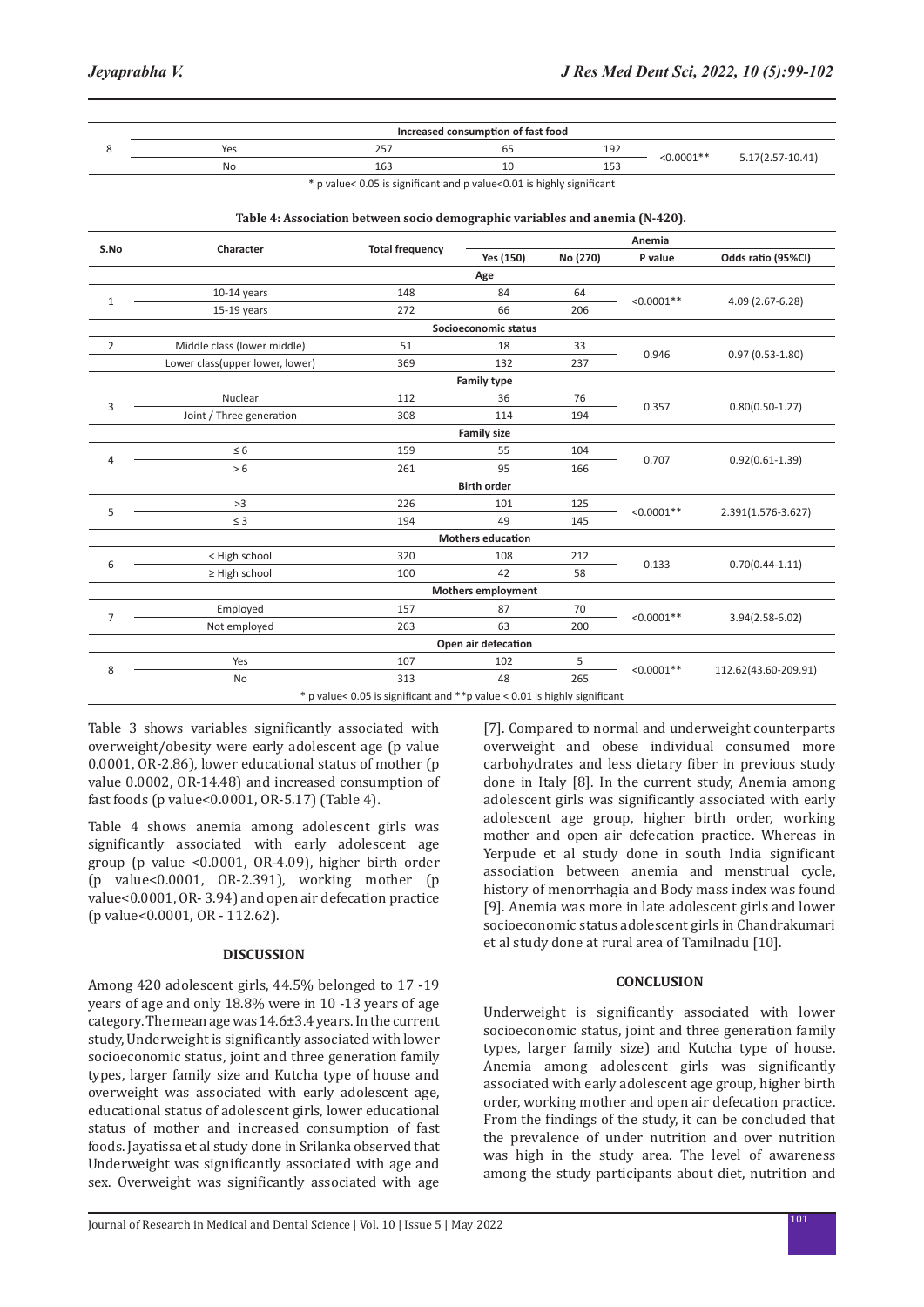|                                                                       | Increased consumption of fast food |     |    |     |              |                  |  |  |
|-----------------------------------------------------------------------|------------------------------------|-----|----|-----|--------------|------------------|--|--|
|                                                                       | Yes                                |     | כס | 192 | $< 0.0001**$ | 5.17(2.57-10.41) |  |  |
|                                                                       | No                                 | 163 |    | 153 |              |                  |  |  |
| * p value< 0.05 is significant and p value<0.01 is highly significant |                                    |     |    |     |              |                  |  |  |

| S.No                                                                       |                                 |                        | Anemia                   |          |              |                      |  |  |
|----------------------------------------------------------------------------|---------------------------------|------------------------|--------------------------|----------|--------------|----------------------|--|--|
|                                                                            | Character                       | <b>Total frequency</b> | Yes (150)                | No (270) | P value      | Odds ratio (95%CI)   |  |  |
| Age                                                                        |                                 |                        |                          |          |              |                      |  |  |
| $1\,$                                                                      | $10-14$ years                   | 148                    | 84                       | 64       | $< 0.0001**$ | 4.09 (2.67-6.28)     |  |  |
|                                                                            | $15-19$ years                   | 272                    | 66                       | 206      |              |                      |  |  |
|                                                                            | Socioeconomic status            |                        |                          |          |              |                      |  |  |
| 2                                                                          | Middle class (lower middle)     | 51                     | 18                       | 33       | 0.946        | $0.97(0.53 - 1.80)$  |  |  |
|                                                                            | Lower class(upper lower, lower) | 369                    | 132                      | 237      |              |                      |  |  |
|                                                                            |                                 |                        | <b>Family type</b>       |          |              |                      |  |  |
| 3                                                                          | Nuclear                         | 112                    | 36                       | 76       | 0.357        | $0.80(0.50-1.27)$    |  |  |
|                                                                            | Joint / Three generation        | 308                    | 114                      | 194      |              |                      |  |  |
|                                                                            |                                 |                        | <b>Family size</b>       |          |              |                      |  |  |
| $\overline{4}$                                                             | $\leq 6$                        | 159                    | 55                       | 104      | 0.707        | $0.92(0.61 - 1.39)$  |  |  |
|                                                                            | > 6                             | 261                    | 95                       | 166      |              |                      |  |  |
|                                                                            |                                 |                        | <b>Birth order</b>       |          |              |                      |  |  |
| 5                                                                          | >3                              | 226                    | 101                      | 125      | $< 0.0001**$ | 2.391(1.576-3.627)   |  |  |
|                                                                            | $\leq$ 3                        | 194                    | 49                       | 145      |              |                      |  |  |
|                                                                            |                                 |                        | <b>Mothers education</b> |          |              |                      |  |  |
| 6                                                                          | < High school                   | 320                    | 108                      | 212      | 0.133        | $0.70(0.44 - 1.11)$  |  |  |
|                                                                            | $\geq$ High school              | 100                    | 42                       | 58       |              |                      |  |  |
| <b>Mothers employment</b>                                                  |                                 |                        |                          |          |              |                      |  |  |
| $\overline{7}$                                                             | Employed                        | 157                    | 87                       | 70       | $< 0.0001**$ | 3.94(2.58-6.02)      |  |  |
|                                                                            | Not employed                    | 263                    | 63                       | 200      |              |                      |  |  |
|                                                                            | Open air defecation             |                        |                          |          |              |                      |  |  |
| 8                                                                          | Yes                             | 107                    | 102                      | 5        | $< 0.0001**$ | 112.62(43.60-209.91) |  |  |
|                                                                            | No                              | 313                    | 48                       | 265      |              |                      |  |  |
| * p value< 0.05 is significant and ** p value < 0.01 is highly significant |                                 |                        |                          |          |              |                      |  |  |

Table 3 shows variables significantly associated with overweight/obesity were early adolescent age (p value 0.0001, OR-2.86), lower educational status of mother (p value 0.0002, OR-14.48) and increased consumption of fast foods (p value<0.0001, OR-5.17) (Table 4).

Table 4 shows anemia among adolescent girls was significantly associated with early adolescent age group (p value <0.0001, OR-4.09), higher birth order (p value<0.0001, OR-2.391), working mother (p value<0.0001, OR- 3.94) and open air defecation practice (p value<0.0001, OR - 112.62).

# **DISCUSSION**

Among 420 adolescent girls, 44.5% belonged to 17 -19 years of age and only 18.8% were in 10 -13 years of age category. The mean age was 14.6±3.4 years. In the current study, Underweight is significantly associated with lower socioeconomic status, joint and three generation family types, larger family size and Kutcha type of house and overweight was associated with early adolescent age, educational status of adolescent girls, lower educational status of mother and increased consumption of fast foods. Jayatissa et al study done in Srilanka observed that Underweight was significantly associated with age and sex. Overweight was significantly associated with age [7]. Compared to normal and underweight counterparts overweight and obese individual consumed more carbohydrates and less dietary fiber in previous study done in Italy [8]. In the current study, Anemia among adolescent girls was significantly associated with early adolescent age group, higher birth order, working mother and open air defecation practice. Whereas in Yerpude et al study done in south India significant association between anemia and menstrual cycle, history of menorrhagia and Body mass index was found [9]. Anemia was more in late adolescent girls and lower socioeconomic status adolescent girls in Chandrakumari et al study done at rural area of Tamilnadu [10].

# **CONCLUSION**

Underweight is significantly associated with lower socioeconomic status, joint and three generation family types, larger family size) and Kutcha type of house. Anemia among adolescent girls was significantly associated with early adolescent age group, higher birth order, working mother and open air defecation practice. From the findings of the study, it can be concluded that the prevalence of under nutrition and over nutrition was high in the study area. The level of awareness among the study participants about diet, nutrition and